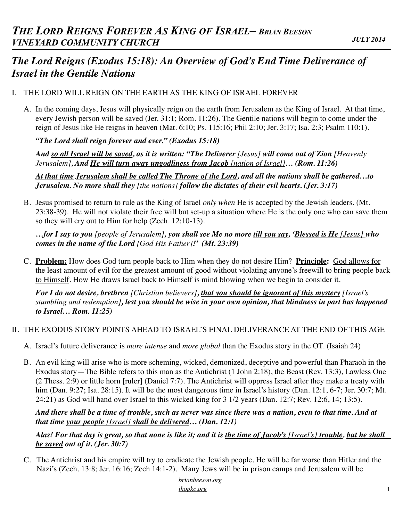# *The Lord Reigns (Exodus 15:18): An Overview of God's End Time Deliverance of Israel in the Gentile Nations*

### I. THE LORD WILL REIGN ON THE EARTH AS THE KING OF ISRAEL FOREVER

A. In the coming days, Jesus will physically reign on the earth from Jerusalem as the King of Israel. At that time, every Jewish person will be saved (Jer. 31:1; Rom. 11:26). The Gentile nations will begin to come under the reign of Jesus like He reigns in heaven (Mat. 6:10; Ps. 115:16; Phil 2:10; Jer. 3:17; Isa. 2:3; Psalm 110:1).

*"The Lord shall reign forever and ever." (Exodus 15:18)*

*And so all Israel will be saved, as it is written: "The Deliverer [Jesus] will come out of Zion [Heavenly Jerusalem], And He will turn away ungodliness from Jacob [nation of Israel]… (Rom. 11:26)*

*At that time Jerusalem shall be called The Throne of the Lord, and all the nations shall be gathered…to Jerusalem. No more shall they [the nations] follow the dictates of their evil hearts. (Jer. 3:17)*

B. Jesus promised to return to rule as the King of Israel *only when* He is accepted by the Jewish leaders. (Mt. 23:38-39). He will not violate their free will but set-up a situation where He is the only one who can save them so they will cry out to Him for help (Zech. 12:10-13).

*…for I say to you [people of Jerusalem], you shall see Me no more till you say, 'Blessed is He [Jesus] who comes in the name of the Lord [God His Father]!' (Mt. 23:39)*

C. **Problem:** How does God turn people back to Him when they do not desire Him? **Principle:** God allows for the least amount of evil for the greatest amount of good without violating anyone's freewill to bring people back to Himself. How He draws Israel back to Himself is mind blowing when we begin to consider it.

*For I do not desire, brethren [Christian believers], that you should be ignorant of this mystery [Israel's stumbling and redemption], lest you should be wise in your own opinion, that blindness in part has happened to Israel… Rom. 11:25)*

- II. THE EXODUS STORY POINTS AHEAD TO ISRAEL'S FINAL DELIVERANCE AT THE END OF THIS AGE
	- A. Israel's future deliverance is *more intense* and *more global* than the Exodus story in the OT. (Isaiah 24)
	- B. An evil king will arise who is more scheming, wicked, demonized, deceptive and powerful than Pharaoh in the Exodus story—The Bible refers to this man as the Antichrist (1 John 2:18), the Beast (Rev. 13:3), Lawless One (2 Thess. 2:9) or little horn [ruler] (Daniel 7:7). The Antichrist will oppress Israel after they make a treaty with him (Dan. 9:27; Isa. 28:15). It will be the most dangerous time in Israel's history (Dan. 12:1, 6-7; Jer. 30:7; Mt. 24:21) as God will hand over Israel to this wicked king for 3 1/2 years (Dan. 12:7; Rev. 12:6, 14; 13:5).

*And there shall be a time of trouble, such as never was since there was a nation, even to that time. And at that time your people [Israel] shall be delivered… (Dan. 12:1)*

*Alas! For that day is great, so that none is like it; and it is the time of Jacob's [Israel's] trouble, but he shall be saved out of it. (Jer. 30:7)*

C. The Antichrist and his empire will try to eradicate the Jewish people. He will be far worse than Hitler and the Nazi's (Zech. 13:8; Jer. 16:16; Zech 14:1-2). Many Jews will be in prison camps and Jerusalem will be